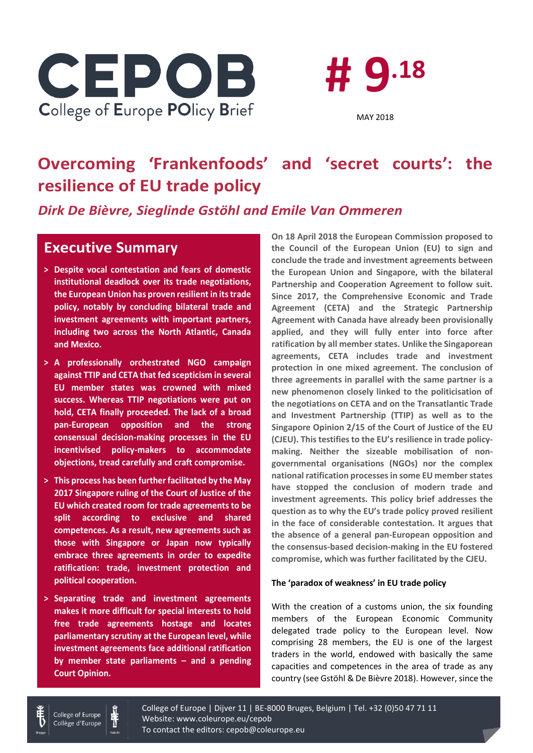



# **Overcoming 'Frankenfoods' and 'secret courts': the resilience of EU trade policy**

*Dirk De Bièvre, Sieglinde Gstöhl and Emile Van Ommeren*

### **Executive Summary**

- **> Despite vocal contestation and fears of domestic institutional deadlock over its trade negotiations, the European Union has proven resilient in its trade policy, notably by concluding bilateral trade and investment agreements with important partners, including two across the North Atlantic, Canada and Mexico.**
- **> A professionally orchestrated NGO campaign against TTIP and CETA that fed scepticism in several EU member states was crowned with mixed success. Whereas TTIP negotiations were put on hold, CETA finally proceeded. The lack of a broad pan-European opposition and the strong consensual decision-making processes in the EU incentivised policy-makers to accommodate objections, tread carefully and craft compromise.**
- **> This process has been further facilitated by the May 2017 Singapore ruling of the Court of Justice of the EU which created room for trade agreements to be split according to exclusive and shared competences. As a result, new agreements such as those with Singapore or Japan now typically embrace three agreements in order to expedite ratification: trade, investment protection and political cooperation.**
- **> Separating trade and investment agreements makes it more difficult for special interests to hold free trade agreements hostage and locates parliamentary scrutiny at the European level, while investment agreements face additional ratification by member state parliaments – and a pending Court Opinion.**

**On 18 April 2018 the European Commission proposed to the Council of the European Union (EU) to sign and conclude the trade and investment agreements between the European Union and Singapore, with the bilateral Partnership and Cooperation Agreement to follow suit. Since 2017, the Comprehensive Economic and Trade Agreement (CETA) and the Strategic Partnership Agreement with Canada have already been provisionally applied, and they will fully enter into force after ratification by all member states. Unlike the Singaporean agreements, CETA includes trade and investment protection in one mixed agreement. The conclusion of three agreements in parallel with the same partner is a new phenomenon closely linked to the politicisation of the negotiations on CETA and on the Transatlantic Trade and Investment Partnership (TTIP) as well as to the Singapore Opinion 2/15 of the Court of Justice of the EU (CJEU). Thistestifies to the EU's resilience in trade policymaking. Neither the sizeable mobilisation of nongovernmental organisations (NGOs) nor the complex national ratification processesin some EU member states have stopped the conclusion of modern trade and investment agreements. This policy brief addresses the question as to why the EU's trade policy proved resilient in the face of considerable contestation. It argues that the absence of a general pan-European opposition and the consensus-based decision-making in the EU fostered compromise, which was further facilitated by the CJEU.**

### **The 'paradox of weakness' in EU trade policy**

With the creation of a customs union, the six founding members of the European Economic Community delegated trade policy to the European level. Now comprising 28 members, the EU is one of the largest traders in the world, endowed with basically the same capacities and competences in the area of trade as any country (see Gstöhl & De Bièvre 2018). However, since the



College of Europe | Dijver 11 | BE-8000 Bruges, Belgium | Tel. +32 (0)50 47 71 11 Website: www.coleurope.eu/cepob To contact the editors: cepob@coleurope.eu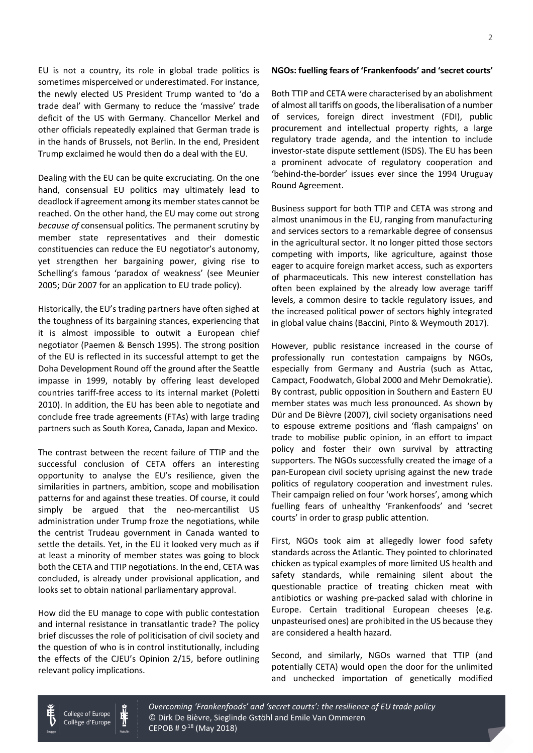EU is not a country, its role in global trade politics is sometimes misperceived or underestimated. For instance, the newly elected US President Trump wanted to 'do a trade deal' with Germany to reduce the 'massive' trade deficit of the US with Germany. Chancellor Merkel and other officials repeatedly explained that German trade is in the hands of Brussels, not Berlin. In the end, President Trump exclaimed he would then do a deal with the EU.

Dealing with the EU can be quite excruciating. On the one hand, consensual EU politics may ultimately lead to deadlock if agreement among its member states cannot be reached. On the other hand, the EU may come out strong *because of* consensual politics. The permanent scrutiny by member state representatives and their domestic constituencies can reduce the EU negotiator's autonomy, yet strengthen her bargaining power, giving rise to Schelling's famous 'paradox of weakness' (see Meunier 2005; Dür 2007 for an application to EU trade policy).

Historically, the EU's trading partners have often sighed at the toughness of its bargaining stances, experiencing that it is almost impossible to outwit a European chief negotiator (Paemen & Bensch 1995). The strong position of the EU is reflected in its successful attempt to get the Doha Development Round off the ground after the Seattle impasse in 1999, notably by offering least developed countries tariff-free access to its internal market (Poletti 2010). In addition, the EU has been able to negotiate and conclude free trade agreements (FTAs) with large trading partners such as South Korea, Canada, Japan and Mexico.

The contrast between the recent failure of TTIP and the successful conclusion of CETA offers an interesting opportunity to analyse the EU's resilience, given the similarities in partners, ambition, scope and mobilisation patterns for and against these treaties. Of course, it could simply be argued that the neo-mercantilist US administration under Trump froze the negotiations, while the centrist Trudeau government in Canada wanted to settle the details. Yet, in the EU it looked very much as if at least a minority of member states was going to block both the CETA and TTIP negotiations. In the end, CETA was concluded, is already under provisional application, and looks set to obtain national parliamentary approval.

How did the EU manage to cope with public contestation and internal resistance in transatlantic trade? The policy brief discusses the role of politicisation of civil society and the question of who is in control institutionally, including the effects of the CJEU's Opinion 2/15, before outlining relevant policy implications.

#### **NGOs: fuelling fears of 'Frankenfoods' and 'secret courts'**

Both TTIP and CETA were characterised by an abolishment of almost all tariffs on goods, the liberalisation of a number of services, foreign direct investment (FDI), public procurement and intellectual property rights, a large regulatory trade agenda, and the intention to include investor-state dispute settlement (ISDS). The EU has been a prominent advocate of regulatory cooperation and 'behind-the-border' issues ever since the 1994 Uruguay Round Agreement.

Business support for both TTIP and CETA was strong and almost unanimous in the EU, ranging from manufacturing and services sectors to a remarkable degree of consensus in the agricultural sector. It no longer pitted those sectors competing with imports, like agriculture, against those eager to acquire foreign market access, such as exporters of pharmaceuticals. This new interest constellation has often been explained by the already low average tariff levels, a common desire to tackle regulatory issues, and the increased political power of sectors highly integrated in global value chains (Baccini, Pinto & Weymouth 2017).

However, public resistance increased in the course of professionally run contestation campaigns by NGOs, especially from Germany and Austria (such as Attac, Campact, Foodwatch, Global 2000 and Mehr Demokratie). By contrast, public opposition in Southern and Eastern EU member states was much less pronounced. As shown by Dür and De Bièvre (2007), civil society organisations need to espouse extreme positions and 'flash campaigns' on trade to mobilise public opinion, in an effort to impact policy and foster their own survival by attracting supporters. The NGOs successfully created the image of a pan-European civil society uprising against the new trade politics of regulatory cooperation and investment rules. Their campaign relied on four 'work horses', among which fuelling fears of unhealthy 'Frankenfoods' and 'secret courts' in order to grasp public attention.

First, NGOs took aim at allegedly lower food safety standards across the Atlantic. They pointed to chlorinated chicken as typical examples of more limited US health and safety standards, while remaining silent about the questionable practice of treating chicken meat with antibiotics or washing pre-packed salad with chlorine in Europe. Certain traditional European cheeses (e.g. unpasteurised ones) are prohibited in the US because they are considered a health hazard.

Second, and similarly, NGOs warned that TTIP (and potentially CETA) would open the door for the unlimited and unchecked importation of genetically modified



College of Europe Collège d'Europe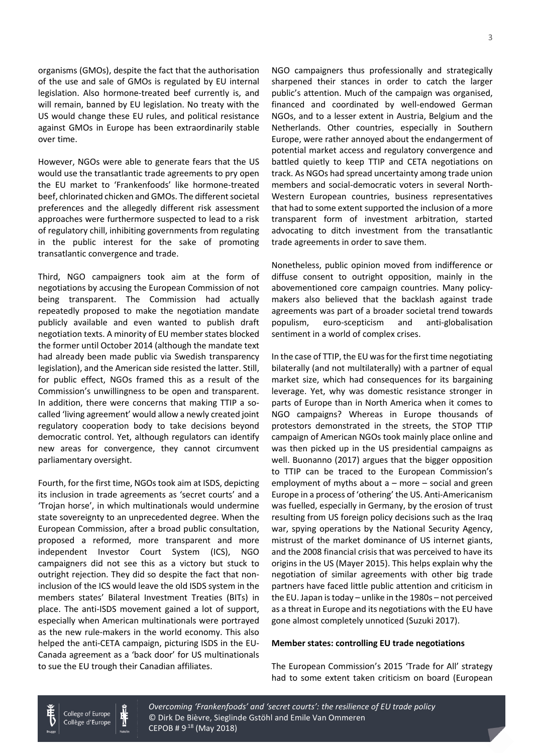organisms (GMOs), despite the fact that the authorisation of the use and sale of GMOs is regulated by EU internal legislation. Also hormone-treated beef currently is, and will remain, banned by EU legislation. No treaty with the US would change these EU rules, and political resistance against GMOs in Europe has been extraordinarily stable over time.

However, NGOs were able to generate fears that the US would use the transatlantic trade agreements to pry open the EU market to 'Frankenfoods' like hormone-treated beef, chlorinated chicken and GMOs. The different societal preferences and the allegedly different risk assessment approaches were furthermore suspected to lead to a risk of regulatory chill, inhibiting governments from regulating in the public interest for the sake of promoting transatlantic convergence and trade.

Third, NGO campaigners took aim at the form of negotiations by accusing the European Commission of not being transparent. The Commission had actually repeatedly proposed to make the negotiation mandate publicly available and even wanted to publish draft negotiation texts. A minority of EU member states blocked the former until October 2014 (although the mandate text had already been made public via Swedish transparency legislation), and the American side resisted the latter. Still, for public effect, NGOs framed this as a result of the Commission's unwillingness to be open and transparent. In addition, there were concerns that making TTIP a socalled 'living agreement' would allow a newly created joint regulatory cooperation body to take decisions beyond democratic control. Yet, although regulators can identify new areas for convergence, they cannot circumvent parliamentary oversight.

Fourth, for the first time, NGOs took aim at ISDS, depicting its inclusion in trade agreements as 'secret courts' and a 'Trojan horse', in which multinationals would undermine state sovereignty to an unprecedented degree. When the European Commission, after a broad public consultation, proposed a reformed, more transparent and more independent Investor Court System (ICS), NGO campaigners did not see this as a victory but stuck to outright rejection. They did so despite the fact that noninclusion of the ICS would leave the old ISDS system in the members states' Bilateral Investment Treaties (BITs) in place. The anti-ISDS movement gained a lot of support, especially when American multinationals were portrayed as the new rule-makers in the world economy. This also helped the anti-CETA campaign, picturing ISDS in the EU-Canada agreement as a 'back door' for US multinationals to sue the EU trough their Canadian affiliates.

> College of Europe Collège d'Europe

NGO campaigners thus professionally and strategically sharpened their stances in order to catch the larger public's attention. Much of the campaign was organised, financed and coordinated by well-endowed German NGOs, and to a lesser extent in Austria, Belgium and the Netherlands. Other countries, especially in Southern Europe, were rather annoyed about the endangerment of potential market access and regulatory convergence and battled quietly to keep TTIP and CETA negotiations on track. As NGOs had spread uncertainty among trade union members and social-democratic voters in several North-Western European countries, business representatives that had to some extent supported the inclusion of a more transparent form of investment arbitration, started advocating to ditch investment from the transatlantic trade agreements in order to save them.

Nonetheless, public opinion moved from indifference or diffuse consent to outright opposition, mainly in the abovementioned core campaign countries. Many policymakers also believed that the backlash against trade agreements was part of a broader societal trend towards populism, euro-scepticism and anti-globalisation sentiment in a world of complex crises.

In the case of TTIP, the EU was for the first time negotiating bilaterally (and not multilaterally) with a partner of equal market size, which had consequences for its bargaining leverage. Yet, why was domestic resistance stronger in parts of Europe than in North America when it comes to NGO campaigns? Whereas in Europe thousands of protestors demonstrated in the streets, the STOP TTIP campaign of American NGOs took mainly place online and was then picked up in the US presidential campaigns as well. Buonanno (2017) argues that the bigger opposition to TTIP can be traced to the European Commission's employment of myths about  $a$  – more – social and green Europe in a process of 'othering' the US. Anti-Americanism was fuelled, especially in Germany, by the erosion of trust resulting from US foreign policy decisions such as the Iraq war, spying operations by the National Security Agency, mistrust of the market dominance of US internet giants, and the 2008 financial crisis that was perceived to have its origins in the US (Mayer 2015). This helps explain why the negotiation of similar agreements with other big trade partners have faced little public attention and criticism in the EU. Japan is today – unlike in the 1980s – not perceived as a threat in Europe and its negotiations with the EU have gone almost completely unnoticed (Suzuki 2017).

#### **Member states: controlling EU trade negotiations**

The European Commission's 2015 'Trade for All' strategy had to some extent taken criticism on board (European

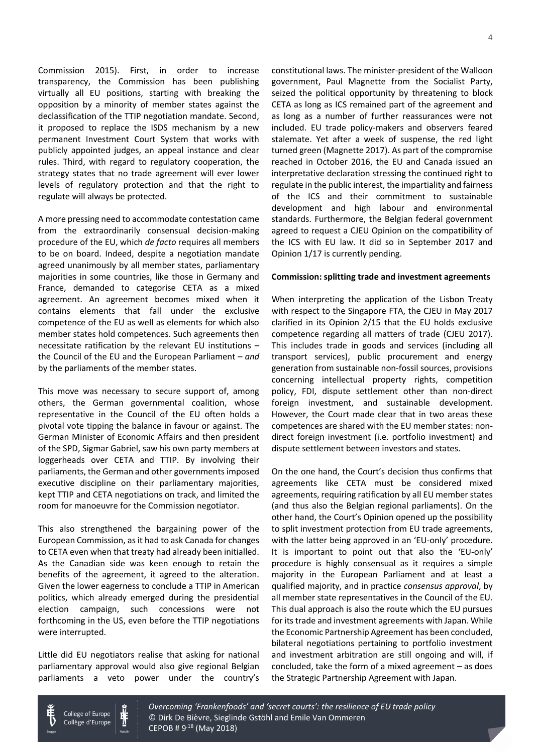Commission 2015). First, in order to increase transparency, the Commission has been publishing virtually all EU positions, starting with breaking the opposition by a minority of member states against the declassification of the TTIP negotiation mandate. Second, it proposed to replace the ISDS mechanism by a new permanent Investment Court System that works with publicly appointed judges, an appeal instance and clear rules. Third, with regard to regulatory cooperation, the strategy states that no trade agreement will ever lower levels of regulatory protection and that the right to regulate will always be protected.

A more pressing need to accommodate contestation came from the extraordinarily consensual decision-making procedure of the EU, which *de facto* requires all members to be on board. Indeed, despite a negotiation mandate agreed unanimously by all member states, parliamentary majorities in some countries, like those in Germany and France, demanded to categorise CETA as a mixed agreement. An agreement becomes mixed when it contains elements that fall under the exclusive competence of the EU as well as elements for which also member states hold competences. Such agreements then necessitate ratification by the relevant EU institutions – the Council of the EU and the European Parliament – *and* by the parliaments of the member states.

This move was necessary to secure support of, among others, the German governmental coalition, whose representative in the Council of the EU often holds a pivotal vote tipping the balance in favour or against. The German Minister of Economic Affairs and then president of the SPD, Sigmar Gabriel, saw his own party members at loggerheads over CETA and TTIP. By involving their parliaments, the German and other governmentsimposed executive discipline on their parliamentary majorities, kept TTIP and CETA negotiations on track, and limited the room for manoeuvre for the Commission negotiator.

This also strengthened the bargaining power of the European Commission, as it had to ask Canada for changes to CETA even when that treaty had already been initialled. As the Canadian side was keen enough to retain the benefits of the agreement, it agreed to the alteration. Given the lower eagerness to conclude a TTIP in American politics, which already emerged during the presidential election campaign, such concessions were not forthcoming in the US, even before the TTIP negotiations were interrupted.

Little did EU negotiators realise that asking for national parliamentary approval would also give regional Belgian parliaments a veto power under the country's constitutional laws. The minister-president of the Walloon government, Paul Magnette from the Socialist Party, seized the political opportunity by threatening to block CETA as long as ICS remained part of the agreement and as long as a number of further reassurances were not included. EU trade policy-makers and observers feared stalemate. Yet after a week of suspense, the red light turned green (Magnette 2017). As part of the compromise reached in October 2016, the EU and Canada issued an interpretative declaration stressing the continued right to regulate in the public interest, the impartiality and fairness of the ICS and their commitment to sustainable development and high labour and environmental standards. Furthermore, the Belgian federal government agreed to request a CJEU Opinion on the compatibility of the ICS with EU law. It did so in September 2017 and Opinion 1/17 is currently pending.

#### **Commission: splitting trade and investment agreements**

When interpreting the application of the Lisbon Treaty with respect to the Singapore FTA, the CJEU in May 2017 clarified in its Opinion 2/15 that the EU holds exclusive competence regarding all matters of trade (CJEU 2017). This includes trade in goods and services (including all transport services), public procurement and energy generation from sustainable non-fossil sources, provisions concerning intellectual property rights, competition policy, FDI, dispute settlement other than non-direct foreign investment, and sustainable development. However, the Court made clear that in two areas these competences are shared with the EU member states: nondirect foreign investment (i.e. portfolio investment) and dispute settlement between investors and states.

On the one hand, the Court's decision thus confirms that agreements like CETA must be considered mixed agreements, requiring ratification by all EU member states (and thus also the Belgian regional parliaments). On the other hand, the Court's Opinion opened up the possibility to split investment protection from EU trade agreements, with the latter being approved in an 'EU-only' procedure. It is important to point out that also the 'EU-only' procedure is highly consensual as it requires a simple majority in the European Parliament and at least a qualified majority, and in practice *consensus approval*, by all member state representatives in the Council of the EU. This dual approach is also the route which the EU pursues for its trade and investment agreements with Japan. While the Economic Partnership Agreement has been concluded, bilateral negotiations pertaining to portfolio investment and investment arbitration are still ongoing and will, if concluded, take the form of a mixed agreement – as does the Strategic Partnership Agreement with Japan.



College of Europe Collège d'Europe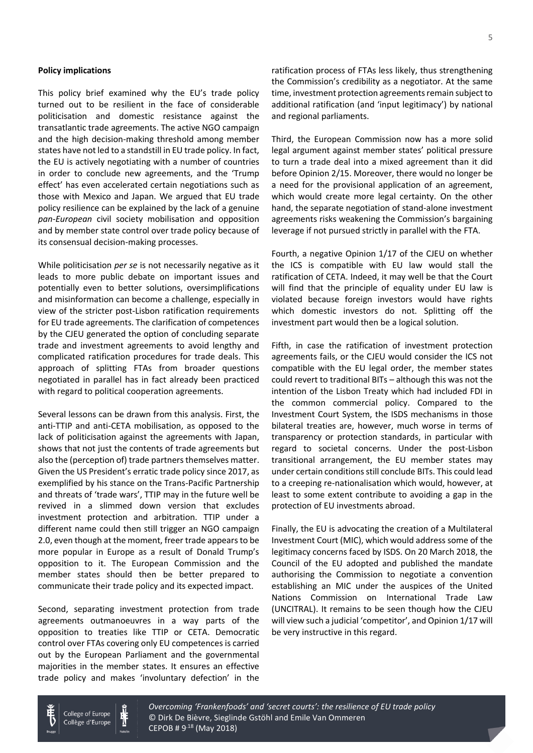#### **Policy implications**

This policy brief examined why the EU's trade policy turned out to be resilient in the face of considerable politicisation and domestic resistance against the transatlantic trade agreements. The active NGO campaign and the high decision-making threshold among member states have not led to a standstill in EU trade policy. In fact, the EU is actively negotiating with a number of countries in order to conclude new agreements, and the 'Trump effect' has even accelerated certain negotiations such as those with Mexico and Japan. We argued that EU trade policy resilience can be explained by the lack of a genuine *pan-European* civil society mobilisation and opposition and by member state control over trade policy because of its consensual decision-making processes.

While politicisation *per se* is not necessarily negative as it leads to more public debate on important issues and potentially even to better solutions, oversimplifications and misinformation can become a challenge, especially in view of the stricter post-Lisbon ratification requirements for EU trade agreements. The clarification of competences by the CJEU generated the option of concluding separate trade and investment agreements to avoid lengthy and complicated ratification procedures for trade deals. This approach of splitting FTAs from broader questions negotiated in parallel has in fact already been practiced with regard to political cooperation agreements.

Several lessons can be drawn from this analysis. First, the anti-TTIP and anti-CETA mobilisation, as opposed to the lack of politicisation against the agreements with Japan, shows that not just the contents of trade agreements but also the (perception of) trade partners themselves matter. Given the US President's erratic trade policy since 2017, as exemplified by his stance on the Trans-Pacific Partnership and threats of 'trade wars', TTIP may in the future well be revived in a slimmed down version that excludes investment protection and arbitration. TTIP under a different name could then still trigger an NGO campaign 2.0, even though at the moment, freer trade appears to be more popular in Europe as a result of Donald Trump's opposition to it. The European Commission and the member states should then be better prepared to communicate their trade policy and its expected impact.

Second, separating investment protection from trade agreements outmanoeuvres in a way parts of the opposition to treaties like TTIP or CETA. Democratic control over FTAs covering only EU competences is carried out by the European Parliament and the governmental majorities in the member states. It ensures an effective trade policy and makes 'involuntary defection' in the ratification process of FTAs less likely, thus strengthening the Commission's credibility as a negotiator. At the same time, investment protection agreements remain subject to additional ratification (and 'input legitimacy') by national and regional parliaments.

Third, the European Commission now has a more solid legal argument against member states' political pressure to turn a trade deal into a mixed agreement than it did before Opinion 2/15. Moreover, there would no longer be a need for the provisional application of an agreement, which would create more legal certainty. On the other hand, the separate negotiation of stand-alone investment agreements risks weakening the Commission's bargaining leverage if not pursued strictly in parallel with the FTA.

Fourth, a negative Opinion 1/17 of the CJEU on whether the ICS is compatible with EU law would stall the ratification of CETA. Indeed, it may well be that the Court will find that the principle of equality under EU law is violated because foreign investors would have rights which domestic investors do not. Splitting off the investment part would then be a logical solution.

Fifth, in case the ratification of investment protection agreements fails, or the CJEU would consider the ICS not compatible with the EU legal order, the member states could revert to traditional BITs – although this was not the intention of the Lisbon Treaty which had included FDI in the common commercial policy. Compared to the Investment Court System, the ISDS mechanisms in those bilateral treaties are, however, much worse in terms of transparency or protection standards, in particular with regard to societal concerns. Under the post-Lisbon transitional arrangement, the EU member states may under certain conditions still conclude BITs. This could lead to a creeping re-nationalisation which would, however, at least to some extent contribute to avoiding a gap in the protection of EU investments abroad.

Finally, the EU is advocating the creation of a Multilateral Investment Court (MIC), which would address some of the legitimacy concerns faced by ISDS. On 20 March 2018, the Council of the EU adopted and published the mandate authorising the Commission to negotiate a convention establishing an MIC under the auspices of the United Nations Commission on International Trade Law (UNCITRAL). It remains to be seen though how the CJEU will view such a judicial 'competitor', and Opinion 1/17 will be very instructive in this regard.